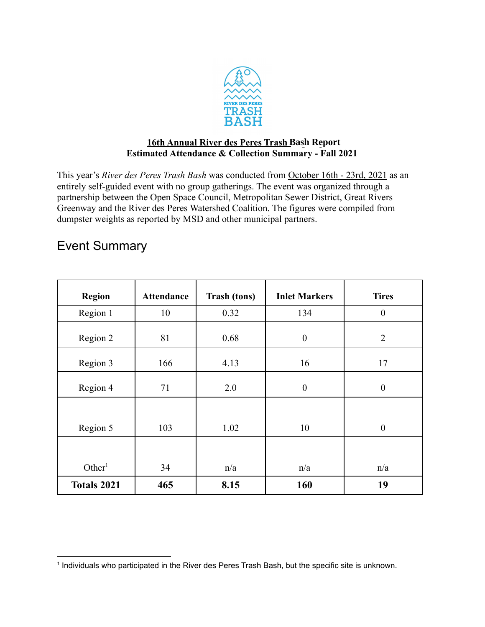

## **16th Annual River des Peres Trash Bash Report Estimated Attendance & Collection Summary - Fall 2021**

This year's *River des Peres Trash Bash* was conducted from October 16th - 23rd, 2021 as an entirely self-guided event with no group gatherings. The event was organized through a partnership between the Open Space Council, Metropolitan Sewer District, Great Rivers Greenway and the River des Peres Watershed Coalition. The figures were compiled from dumpster weights as reported by MSD and other municipal partners.

## Event Summary

| <b>Region</b>      | <b>Attendance</b> | <b>Trash (tons)</b> | <b>Inlet Markers</b> | <b>Tires</b>     |
|--------------------|-------------------|---------------------|----------------------|------------------|
| Region 1           | 10                | 0.32                | 134                  | $\boldsymbol{0}$ |
| Region 2           | 81                | 0.68                | $\boldsymbol{0}$     | $\overline{2}$   |
| Region 3           | 166               | 4.13                | 16                   | 17               |
| Region 4           | 71                | 2.0                 | $\boldsymbol{0}$     | $\boldsymbol{0}$ |
|                    |                   |                     |                      |                  |
| Region 5           | 103               | 1.02                | 10                   | $\boldsymbol{0}$ |
|                    |                   |                     |                      |                  |
| Other <sup>1</sup> | 34                | n/a                 | n/a                  | n/a              |
| <b>Totals 2021</b> | 465               | 8.15                | 160                  | 19               |

<sup>1</sup> Individuals who participated in the River des Peres Trash Bash, but the specific site is unknown.